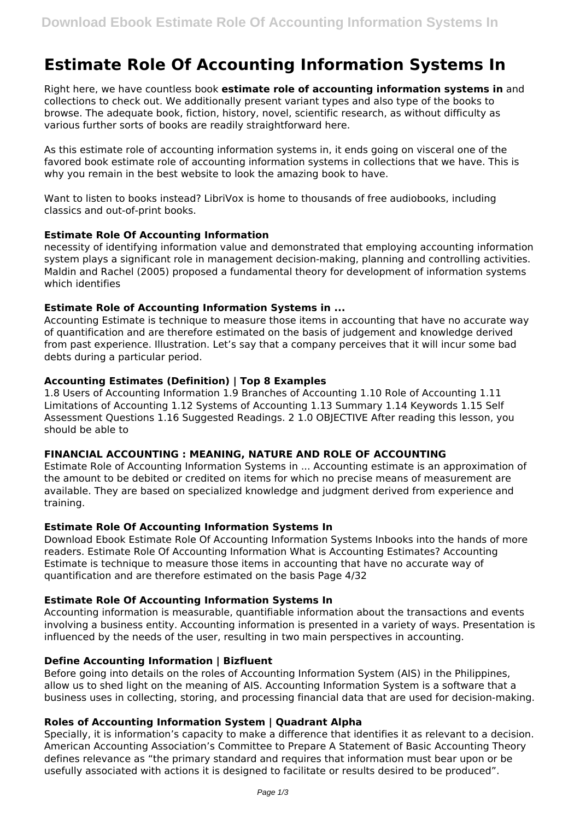# **Estimate Role Of Accounting Information Systems In**

Right here, we have countless book **estimate role of accounting information systems in** and collections to check out. We additionally present variant types and also type of the books to browse. The adequate book, fiction, history, novel, scientific research, as without difficulty as various further sorts of books are readily straightforward here.

As this estimate role of accounting information systems in, it ends going on visceral one of the favored book estimate role of accounting information systems in collections that we have. This is why you remain in the best website to look the amazing book to have.

Want to listen to books instead? LibriVox is home to thousands of free audiobooks, including classics and out-of-print books.

#### **Estimate Role Of Accounting Information**

necessity of identifying information value and demonstrated that employing accounting information system plays a significant role in management decision-making, planning and controlling activities. Maldin and Rachel (2005) proposed a fundamental theory for development of information systems which identifies

#### **Estimate Role of Accounting Information Systems in ...**

Accounting Estimate is technique to measure those items in accounting that have no accurate way of quantification and are therefore estimated on the basis of judgement and knowledge derived from past experience. Illustration. Let's say that a company perceives that it will incur some bad debts during a particular period.

#### **Accounting Estimates (Definition) | Top 8 Examples**

1.8 Users of Accounting Information 1.9 Branches of Accounting 1.10 Role of Accounting 1.11 Limitations of Accounting 1.12 Systems of Accounting 1.13 Summary 1.14 Keywords 1.15 Self Assessment Questions 1.16 Suggested Readings. 2 1.0 OBJECTIVE After reading this lesson, you should be able to

#### **FINANCIAL ACCOUNTING : MEANING, NATURE AND ROLE OF ACCOUNTING**

Estimate Role of Accounting Information Systems in ... Accounting estimate is an approximation of the amount to be debited or credited on items for which no precise means of measurement are available. They are based on specialized knowledge and judgment derived from experience and training.

# **Estimate Role Of Accounting Information Systems In**

Download Ebook Estimate Role Of Accounting Information Systems Inbooks into the hands of more readers. Estimate Role Of Accounting Information What is Accounting Estimates? Accounting Estimate is technique to measure those items in accounting that have no accurate way of quantification and are therefore estimated on the basis Page 4/32

# **Estimate Role Of Accounting Information Systems In**

Accounting information is measurable, quantifiable information about the transactions and events involving a business entity. Accounting information is presented in a variety of ways. Presentation is influenced by the needs of the user, resulting in two main perspectives in accounting.

#### **Define Accounting Information | Bizfluent**

Before going into details on the roles of Accounting Information System (AIS) in the Philippines, allow us to shed light on the meaning of AIS. Accounting Information System is a software that a business uses in collecting, storing, and processing financial data that are used for decision-making.

# **Roles of Accounting Information System | Quadrant Alpha**

Specially, it is information's capacity to make a difference that identifies it as relevant to a decision. American Accounting Association's Committee to Prepare A Statement of Basic Accounting Theory defines relevance as "the primary standard and requires that information must bear upon or be usefully associated with actions it is designed to facilitate or results desired to be produced".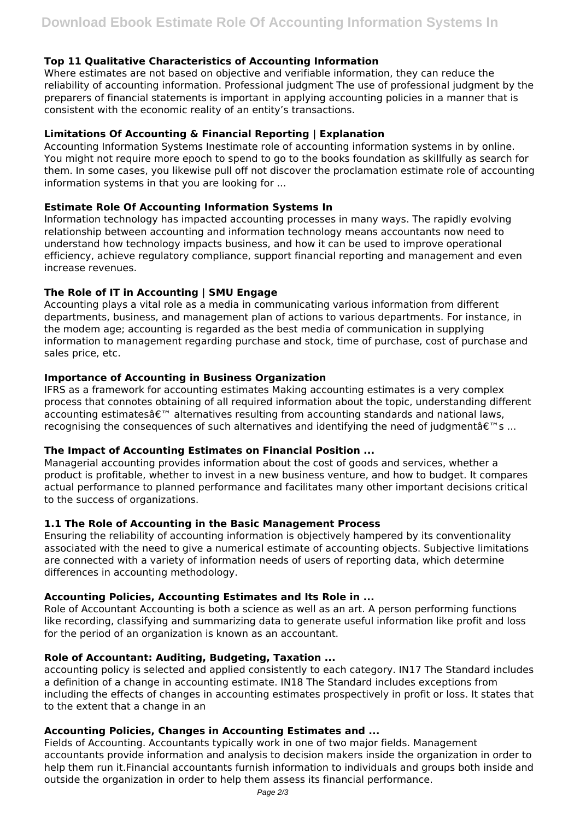# **Top 11 Qualitative Characteristics of Accounting Information**

Where estimates are not based on objective and verifiable information, they can reduce the reliability of accounting information. Professional judgment The use of professional judgment by the preparers of financial statements is important in applying accounting policies in a manner that is consistent with the economic reality of an entity's transactions.

# **Limitations Of Accounting & Financial Reporting | Explanation**

Accounting Information Systems Inestimate role of accounting information systems in by online. You might not require more epoch to spend to go to the books foundation as skillfully as search for them. In some cases, you likewise pull off not discover the proclamation estimate role of accounting information systems in that you are looking for ...

# **Estimate Role Of Accounting Information Systems In**

Information technology has impacted accounting processes in many ways. The rapidly evolving relationship between accounting and information technology means accountants now need to understand how technology impacts business, and how it can be used to improve operational efficiency, achieve regulatory compliance, support financial reporting and management and even increase revenues.

# **The Role of IT in Accounting | SMU Engage**

Accounting plays a vital role as a media in communicating various information from different departments, business, and management plan of actions to various departments. For instance, in the modem age; accounting is regarded as the best media of communication in supplying information to management regarding purchase and stock, time of purchase, cost of purchase and sales price, etc.

# **Importance of Accounting in Business Organization**

IFRS as a framework for accounting estimates Making accounting estimates is a very complex process that connotes obtaining of all required information about the topic, understanding different accounting estimates $\hat{\alpha} \in \mathbb{R}^n$  alternatives resulting from accounting standards and national laws, recognising the consequences of such alternatives and identifying the need of judgment  $\hat{\mathbf{a}} \in \mathbb{N}$  s ...

# **The Impact of Accounting Estimates on Financial Position ...**

Managerial accounting provides information about the cost of goods and services, whether a product is profitable, whether to invest in a new business venture, and how to budget. It compares actual performance to planned performance and facilitates many other important decisions critical to the success of organizations.

# **1.1 The Role of Accounting in the Basic Management Process**

Ensuring the reliability of accounting information is objectively hampered by its conventionality associated with the need to give a numerical estimate of accounting objects. Subjective limitations are connected with a variety of information needs of users of reporting data, which determine differences in accounting methodology.

# **Accounting Policies, Accounting Estimates and Its Role in ...**

Role of Accountant Accounting is both a science as well as an art. A person performing functions like recording, classifying and summarizing data to generate useful information like profit and loss for the period of an organization is known as an accountant.

# **Role of Accountant: Auditing, Budgeting, Taxation ...**

accounting policy is selected and applied consistently to each category. IN17 The Standard includes a definition of a change in accounting estimate. IN18 The Standard includes exceptions from including the effects of changes in accounting estimates prospectively in profit or loss. It states that to the extent that a change in an

# **Accounting Policies, Changes in Accounting Estimates and ...**

Fields of Accounting. Accountants typically work in one of two major fields. Management accountants provide information and analysis to decision makers inside the organization in order to help them run it.Financial accountants furnish information to individuals and groups both inside and outside the organization in order to help them assess its financial performance.